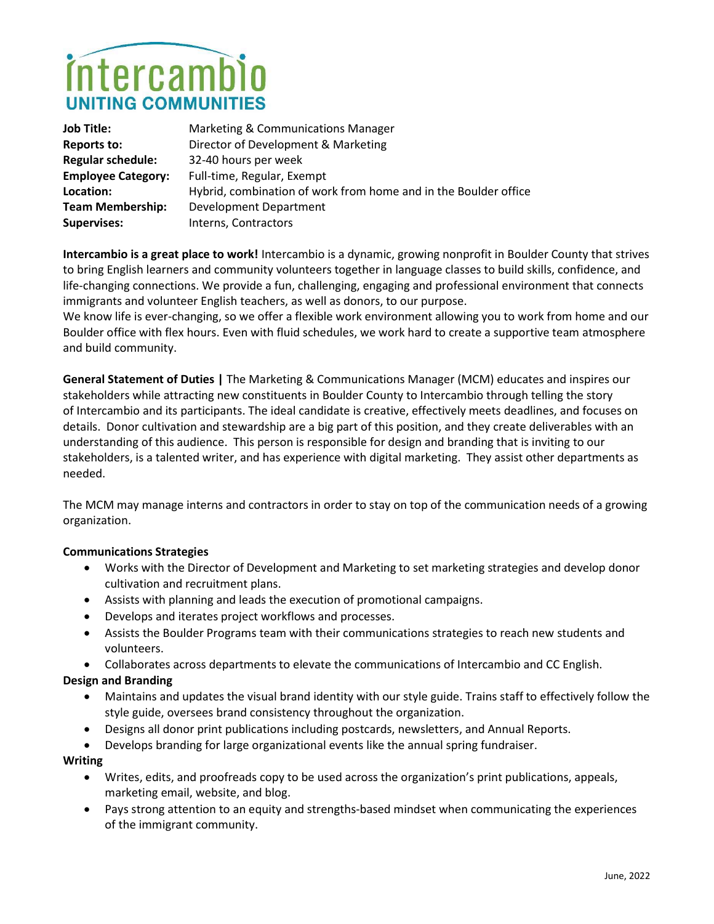# intercamb UNITING COMMUNITI

| <b>Job Title:</b>         | Marketing & Communications Manager                              |
|---------------------------|-----------------------------------------------------------------|
| Reports to:               | Director of Development & Marketing                             |
| <b>Regular schedule:</b>  | 32-40 hours per week                                            |
| <b>Employee Category:</b> | Full-time, Regular, Exempt                                      |
| Location:                 | Hybrid, combination of work from home and in the Boulder office |
| <b>Team Membership:</b>   | Development Department                                          |
| <b>Supervises:</b>        | Interns, Contractors                                            |

Intercambio is a great place to work! Intercambio is a dynamic, growing nonprofit in Boulder County that strives to bring English learners and community volunteers together in language classes to build skills, confidence, and life-changing connections. We provide a fun, challenging, engaging and professional environment that connects immigrants and volunteer English teachers, as well as donors, to our purpose.

We know life is ever-changing, so we offer a flexible work environment allowing you to work from home and our Boulder office with flex hours. Even with fluid schedules, we work hard to create a supportive team atmosphere and build community.

General Statement of Duties | The Marketing & Communications Manager (MCM) educates and inspires our stakeholders while attracting new constituents in Boulder County to Intercambio through telling the story of Intercambio and its participants. The ideal candidate is creative, effectively meets deadlines, and focuses on details. Donor cultivation and stewardship are a big part of this position, and they create deliverables with an understanding of this audience. This person is responsible for design and branding that is inviting to our stakeholders, is a talented writer, and has experience with digital marketing. They assist other departments as needed.

The MCM may manage interns and contractors in order to stay on top of the communication needs of a growing organization.

# Communications Strategies

- Works with the Director of Development and Marketing to set marketing strategies and develop donor cultivation and recruitment plans.
- Assists with planning and leads the execution of promotional campaigns.
- Develops and iterates project workflows and processes.
- Assists the Boulder Programs team with their communications strategies to reach new students and volunteers.
- Collaborates across departments to elevate the communications of Intercambio and CC English.

### Design and Branding

- Maintains and updates the visual brand identity with our style guide. Trains staff to effectively follow the style guide, oversees brand consistency throughout the organization.
- Designs all donor print publications including postcards, newsletters, and Annual Reports.
- Develops branding for large organizational events like the annual spring fundraiser.

### Writing

- Writes, edits, and proofreads copy to be used across the organization's print publications, appeals, marketing email, website, and blog.
- Pays strong attention to an equity and strengths-based mindset when communicating the experiences of the immigrant community.